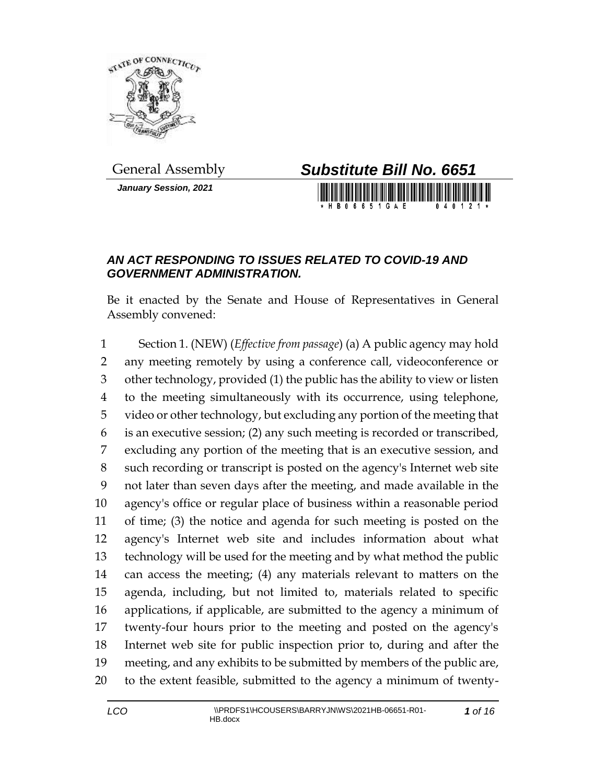

*January Session, 2021*



## *AN ACT RESPONDING TO ISSUES RELATED TO COVID-19 AND GOVERNMENT ADMINISTRATION.*

Be it enacted by the Senate and House of Representatives in General Assembly convened:

 Section 1. (NEW) (*Effective from passage*) (a) A public agency may hold any meeting remotely by using a conference call, videoconference or other technology, provided (1) the public has the ability to view or listen to the meeting simultaneously with its occurrence, using telephone, video or other technology, but excluding any portion of the meeting that is an executive session; (2) any such meeting is recorded or transcribed, excluding any portion of the meeting that is an executive session, and such recording or transcript is posted on the agency's Internet web site not later than seven days after the meeting, and made available in the agency's office or regular place of business within a reasonable period of time; (3) the notice and agenda for such meeting is posted on the agency's Internet web site and includes information about what technology will be used for the meeting and by what method the public can access the meeting; (4) any materials relevant to matters on the agenda, including, but not limited to, materials related to specific applications, if applicable, are submitted to the agency a minimum of twenty-four hours prior to the meeting and posted on the agency's Internet web site for public inspection prior to, during and after the meeting, and any exhibits to be submitted by members of the public are, to the extent feasible, submitted to the agency a minimum of twenty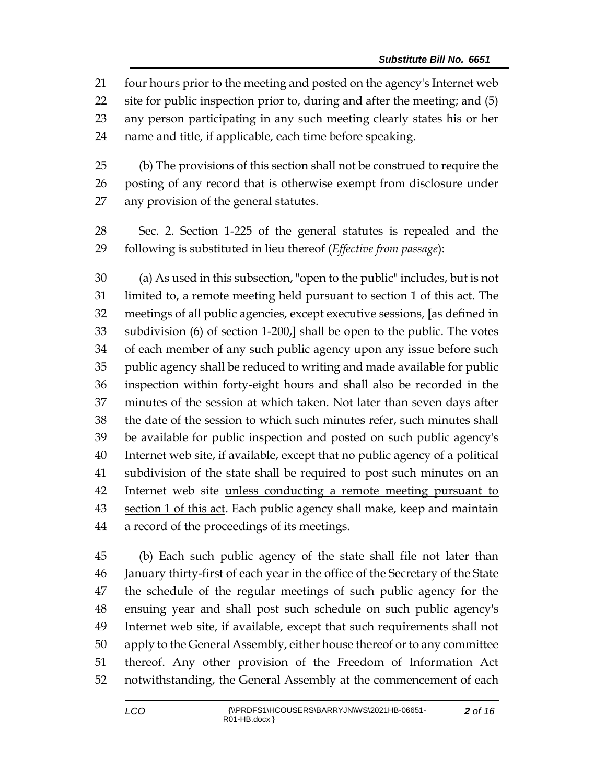four hours prior to the meeting and posted on the agency's Internet web site for public inspection prior to, during and after the meeting; and (5) any person participating in any such meeting clearly states his or her name and title, if applicable, each time before speaking.

 (b) The provisions of this section shall not be construed to require the posting of any record that is otherwise exempt from disclosure under any provision of the general statutes.

 Sec. 2. Section 1-225 of the general statutes is repealed and the following is substituted in lieu thereof (*Effective from passage*):

 (a) As used in this subsection, "open to the public" includes, but is not limited to, a remote meeting held pursuant to section 1 of this act. The meetings of all public agencies, except executive sessions, **[**as defined in subdivision (6) of section 1-200,**]** shall be open to the public. The votes of each member of any such public agency upon any issue before such public agency shall be reduced to writing and made available for public inspection within forty-eight hours and shall also be recorded in the minutes of the session at which taken. Not later than seven days after the date of the session to which such minutes refer, such minutes shall be available for public inspection and posted on such public agency's Internet web site, if available, except that no public agency of a political subdivision of the state shall be required to post such minutes on an Internet web site unless conducting a remote meeting pursuant to 43 section 1 of this act. Each public agency shall make, keep and maintain a record of the proceedings of its meetings.

 (b) Each such public agency of the state shall file not later than January thirty-first of each year in the office of the Secretary of the State the schedule of the regular meetings of such public agency for the ensuing year and shall post such schedule on such public agency's Internet web site, if available, except that such requirements shall not apply to the General Assembly, either house thereof or to any committee thereof. Any other provision of the Freedom of Information Act notwithstanding, the General Assembly at the commencement of each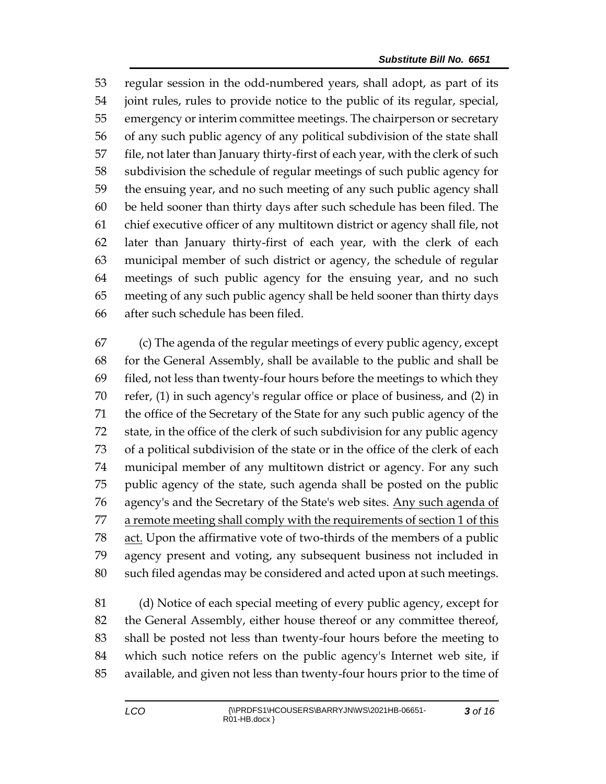regular session in the odd-numbered years, shall adopt, as part of its joint rules, rules to provide notice to the public of its regular, special, emergency or interim committee meetings. The chairperson or secretary of any such public agency of any political subdivision of the state shall file, not later than January thirty-first of each year, with the clerk of such subdivision the schedule of regular meetings of such public agency for the ensuing year, and no such meeting of any such public agency shall be held sooner than thirty days after such schedule has been filed. The chief executive officer of any multitown district or agency shall file, not later than January thirty-first of each year, with the clerk of each municipal member of such district or agency, the schedule of regular meetings of such public agency for the ensuing year, and no such meeting of any such public agency shall be held sooner than thirty days after such schedule has been filed.

 (c) The agenda of the regular meetings of every public agency, except for the General Assembly, shall be available to the public and shall be filed, not less than twenty-four hours before the meetings to which they refer, (1) in such agency's regular office or place of business, and (2) in the office of the Secretary of the State for any such public agency of the state, in the office of the clerk of such subdivision for any public agency of a political subdivision of the state or in the office of the clerk of each municipal member of any multitown district or agency. For any such public agency of the state, such agenda shall be posted on the public 76 agency's and the Secretary of the State's web sites. Any such agenda of 77 a remote meeting shall comply with the requirements of section 1 of this 78 act. Upon the affirmative vote of two-thirds of the members of a public agency present and voting, any subsequent business not included in such filed agendas may be considered and acted upon at such meetings.

 (d) Notice of each special meeting of every public agency, except for the General Assembly, either house thereof or any committee thereof, shall be posted not less than twenty-four hours before the meeting to which such notice refers on the public agency's Internet web site, if available, and given not less than twenty-four hours prior to the time of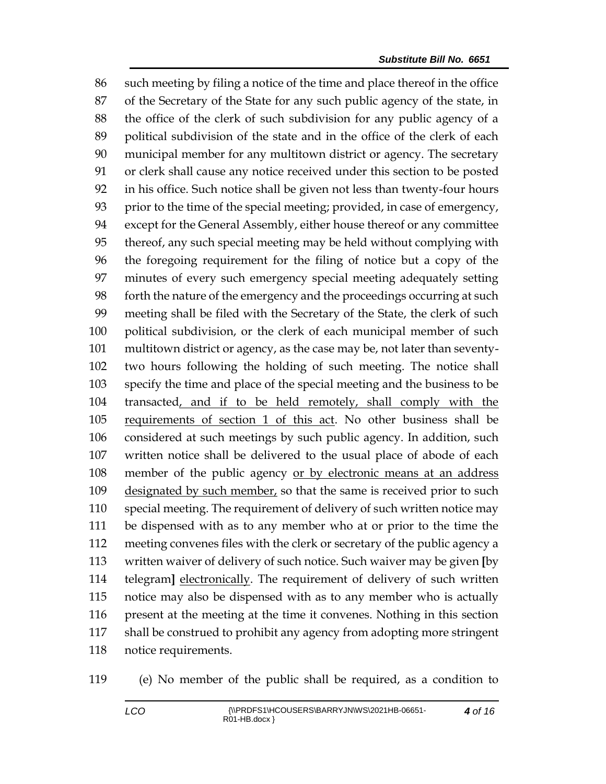such meeting by filing a notice of the time and place thereof in the office of the Secretary of the State for any such public agency of the state, in the office of the clerk of such subdivision for any public agency of a political subdivision of the state and in the office of the clerk of each municipal member for any multitown district or agency. The secretary or clerk shall cause any notice received under this section to be posted in his office. Such notice shall be given not less than twenty-four hours prior to the time of the special meeting; provided, in case of emergency, except for the General Assembly, either house thereof or any committee thereof, any such special meeting may be held without complying with the foregoing requirement for the filing of notice but a copy of the minutes of every such emergency special meeting adequately setting forth the nature of the emergency and the proceedings occurring at such meeting shall be filed with the Secretary of the State, the clerk of such political subdivision, or the clerk of each municipal member of such multitown district or agency, as the case may be, not later than seventy- two hours following the holding of such meeting. The notice shall specify the time and place of the special meeting and the business to be transacted, and if to be held remotely, shall comply with the requirements of section 1 of this act. No other business shall be considered at such meetings by such public agency. In addition, such written notice shall be delivered to the usual place of abode of each 108 member of the public agency or by electronic means at an address 109 designated by such member, so that the same is received prior to such special meeting. The requirement of delivery of such written notice may be dispensed with as to any member who at or prior to the time the meeting convenes files with the clerk or secretary of the public agency a written waiver of delivery of such notice. Such waiver may be given **[**by telegram**]** electronically. The requirement of delivery of such written notice may also be dispensed with as to any member who is actually present at the meeting at the time it convenes. Nothing in this section shall be construed to prohibit any agency from adopting more stringent notice requirements.

(e) No member of the public shall be required, as a condition to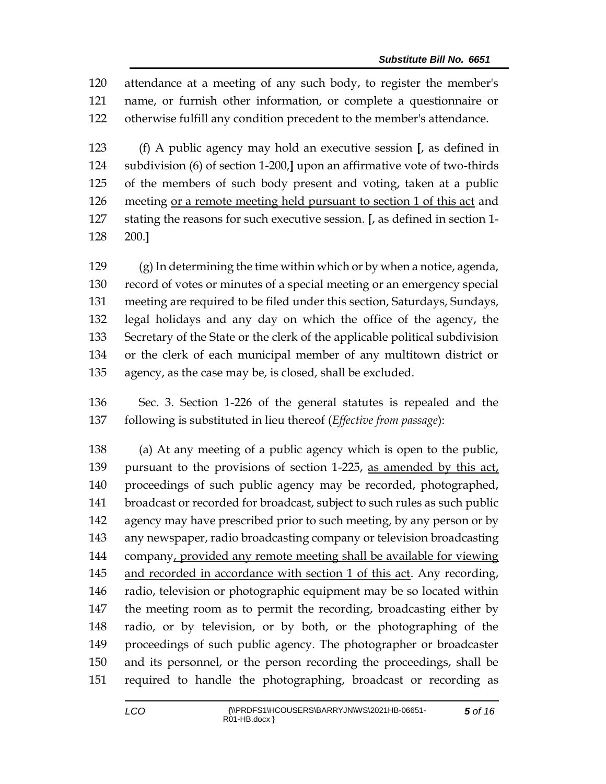attendance at a meeting of any such body, to register the member's name, or furnish other information, or complete a questionnaire or otherwise fulfill any condition precedent to the member's attendance.

 (f) A public agency may hold an executive session **[**, as defined in subdivision (6) of section 1-200,**]** upon an affirmative vote of two-thirds of the members of such body present and voting, taken at a public meeting or a remote meeting held pursuant to section 1 of this act and stating the reasons for such executive session. **[**, as defined in section 1- 200.**]**

 (g) In determining the time within which or by when a notice, agenda, record of votes or minutes of a special meeting or an emergency special meeting are required to be filed under this section, Saturdays, Sundays, legal holidays and any day on which the office of the agency, the Secretary of the State or the clerk of the applicable political subdivision or the clerk of each municipal member of any multitown district or agency, as the case may be, is closed, shall be excluded.

 Sec. 3. Section 1-226 of the general statutes is repealed and the following is substituted in lieu thereof (*Effective from passage*):

 (a) At any meeting of a public agency which is open to the public, 139 pursuant to the provisions of section 1-225, as amended by this act, proceedings of such public agency may be recorded, photographed, broadcast or recorded for broadcast, subject to such rules as such public 142 agency may have prescribed prior to such meeting, by any person or by any newspaper, radio broadcasting company or television broadcasting company, provided any remote meeting shall be available for viewing and recorded in accordance with section 1 of this act. Any recording, radio, television or photographic equipment may be so located within the meeting room as to permit the recording, broadcasting either by radio, or by television, or by both, or the photographing of the proceedings of such public agency. The photographer or broadcaster and its personnel, or the person recording the proceedings, shall be required to handle the photographing, broadcast or recording as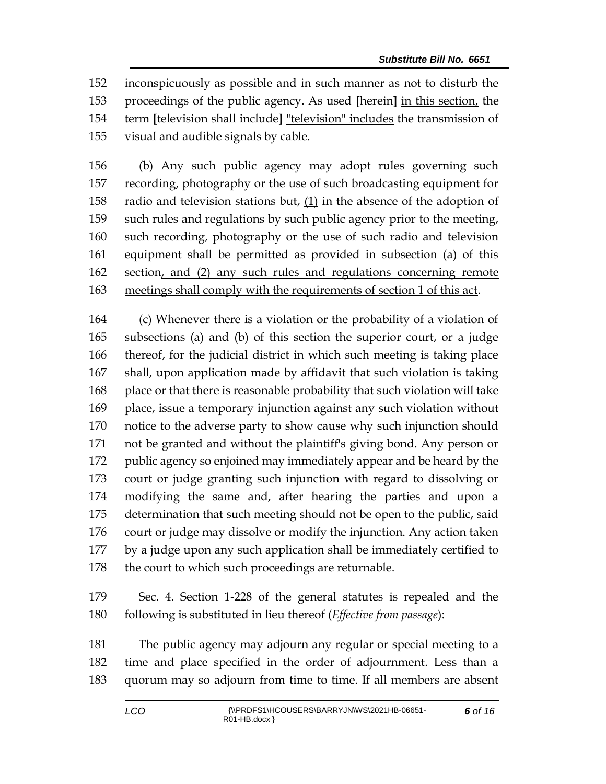inconspicuously as possible and in such manner as not to disturb the proceedings of the public agency. As used **[**herein**]** in this section, the term **[**television shall include**]** "television" includes the transmission of visual and audible signals by cable.

 (b) Any such public agency may adopt rules governing such recording, photography or the use of such broadcasting equipment for radio and television stations but, (1) in the absence of the adoption of such rules and regulations by such public agency prior to the meeting, such recording, photography or the use of such radio and television equipment shall be permitted as provided in subsection (a) of this section, and (2) any such rules and regulations concerning remote meetings shall comply with the requirements of section 1 of this act.

 (c) Whenever there is a violation or the probability of a violation of subsections (a) and (b) of this section the superior court, or a judge thereof, for the judicial district in which such meeting is taking place shall, upon application made by affidavit that such violation is taking place or that there is reasonable probability that such violation will take place, issue a temporary injunction against any such violation without notice to the adverse party to show cause why such injunction should not be granted and without the plaintiff's giving bond. Any person or public agency so enjoined may immediately appear and be heard by the court or judge granting such injunction with regard to dissolving or modifying the same and, after hearing the parties and upon a determination that such meeting should not be open to the public, said court or judge may dissolve or modify the injunction. Any action taken by a judge upon any such application shall be immediately certified to 178 the court to which such proceedings are returnable.

 Sec. 4. Section 1-228 of the general statutes is repealed and the following is substituted in lieu thereof (*Effective from passage*):

 The public agency may adjourn any regular or special meeting to a time and place specified in the order of adjournment. Less than a quorum may so adjourn from time to time. If all members are absent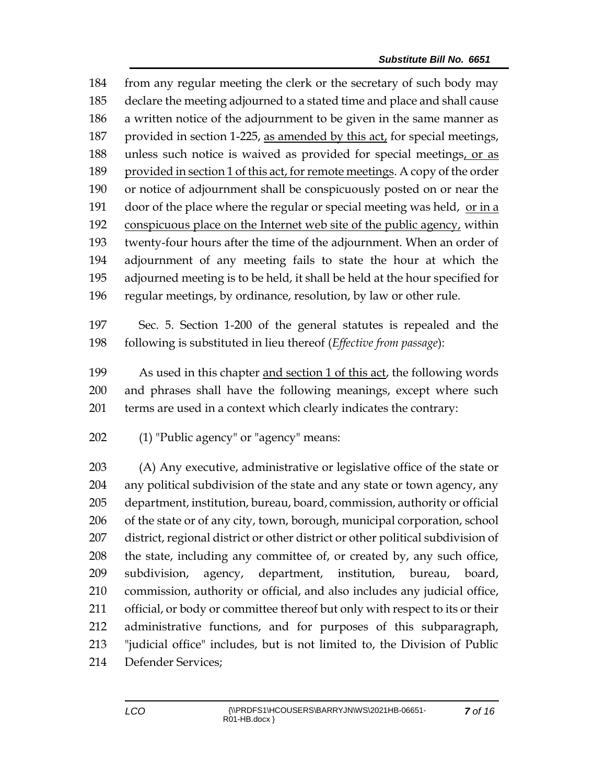from any regular meeting the clerk or the secretary of such body may declare the meeting adjourned to a stated time and place and shall cause a written notice of the adjournment to be given in the same manner as provided in section 1-225, as amended by this act, for special meetings, 188 unless such notice is waived as provided for special meetings, or as provided in section 1 of this act, for remote meetings. A copy of the order or notice of adjournment shall be conspicuously posted on or near the door of the place where the regular or special meeting was held, or in a conspicuous place on the Internet web site of the public agency, within twenty-four hours after the time of the adjournment. When an order of adjournment of any meeting fails to state the hour at which the adjourned meeting is to be held, it shall be held at the hour specified for regular meetings, by ordinance, resolution, by law or other rule.

 Sec. 5. Section 1-200 of the general statutes is repealed and the following is substituted in lieu thereof (*Effective from passage*):

 As used in this chapter and section 1 of this act, the following words and phrases shall have the following meanings, except where such terms are used in a context which clearly indicates the contrary:

(1) "Public agency" or "agency" means:

 (A) Any executive, administrative or legislative office of the state or any political subdivision of the state and any state or town agency, any department, institution, bureau, board, commission, authority or official of the state or of any city, town, borough, municipal corporation, school district, regional district or other district or other political subdivision of the state, including any committee of, or created by, any such office, subdivision, agency, department, institution, bureau, board, commission, authority or official, and also includes any judicial office, official, or body or committee thereof but only with respect to its or their administrative functions, and for purposes of this subparagraph, "judicial office" includes, but is not limited to, the Division of Public Defender Services;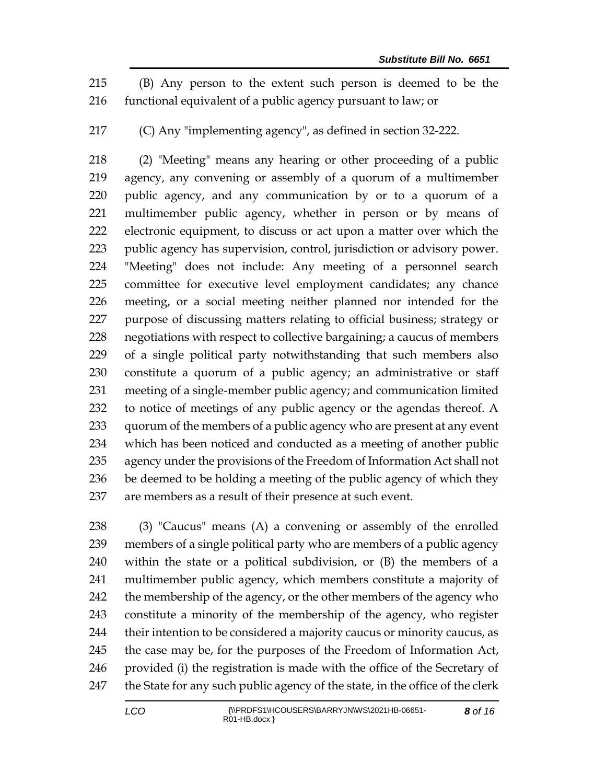(B) Any person to the extent such person is deemed to be the functional equivalent of a public agency pursuant to law; or

(C) Any "implementing agency", as defined in section 32-222.

 (2) "Meeting" means any hearing or other proceeding of a public agency, any convening or assembly of a quorum of a multimember public agency, and any communication by or to a quorum of a multimember public agency, whether in person or by means of electronic equipment, to discuss or act upon a matter over which the public agency has supervision, control, jurisdiction or advisory power. "Meeting" does not include: Any meeting of a personnel search committee for executive level employment candidates; any chance meeting, or a social meeting neither planned nor intended for the purpose of discussing matters relating to official business; strategy or negotiations with respect to collective bargaining; a caucus of members of a single political party notwithstanding that such members also constitute a quorum of a public agency; an administrative or staff meeting of a single-member public agency; and communication limited to notice of meetings of any public agency or the agendas thereof. A quorum of the members of a public agency who are present at any event which has been noticed and conducted as a meeting of another public agency under the provisions of the Freedom of Information Act shall not be deemed to be holding a meeting of the public agency of which they are members as a result of their presence at such event.

 (3) "Caucus" means (A) a convening or assembly of the enrolled members of a single political party who are members of a public agency within the state or a political subdivision, or (B) the members of a multimember public agency, which members constitute a majority of 242 the membership of the agency, or the other members of the agency who constitute a minority of the membership of the agency, who register their intention to be considered a majority caucus or minority caucus, as the case may be, for the purposes of the Freedom of Information Act, provided (i) the registration is made with the office of the Secretary of 247 the State for any such public agency of the state, in the office of the clerk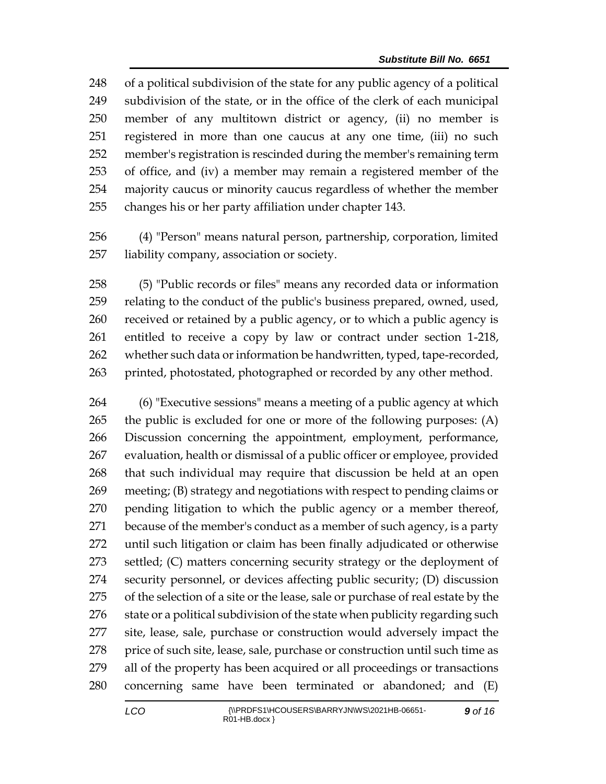of a political subdivision of the state for any public agency of a political subdivision of the state, or in the office of the clerk of each municipal member of any multitown district or agency, (ii) no member is registered in more than one caucus at any one time, (iii) no such member's registration is rescinded during the member's remaining term of office, and (iv) a member may remain a registered member of the majority caucus or minority caucus regardless of whether the member changes his or her party affiliation under chapter 143.

 (4) "Person" means natural person, partnership, corporation, limited liability company, association or society.

 (5) "Public records or files" means any recorded data or information relating to the conduct of the public's business prepared, owned, used, received or retained by a public agency, or to which a public agency is entitled to receive a copy by law or contract under section 1-218, whether such data or information be handwritten, typed, tape-recorded, 263 printed, photostated, photographed or recorded by any other method.

 (6) "Executive sessions" means a meeting of a public agency at which the public is excluded for one or more of the following purposes: (A) Discussion concerning the appointment, employment, performance, evaluation, health or dismissal of a public officer or employee, provided that such individual may require that discussion be held at an open meeting; (B) strategy and negotiations with respect to pending claims or pending litigation to which the public agency or a member thereof, because of the member's conduct as a member of such agency, is a party until such litigation or claim has been finally adjudicated or otherwise settled; (C) matters concerning security strategy or the deployment of security personnel, or devices affecting public security; (D) discussion of the selection of a site or the lease, sale or purchase of real estate by the 276 state or a political subdivision of the state when publicity regarding such site, lease, sale, purchase or construction would adversely impact the 278 price of such site, lease, sale, purchase or construction until such time as all of the property has been acquired or all proceedings or transactions concerning same have been terminated or abandoned; and (E)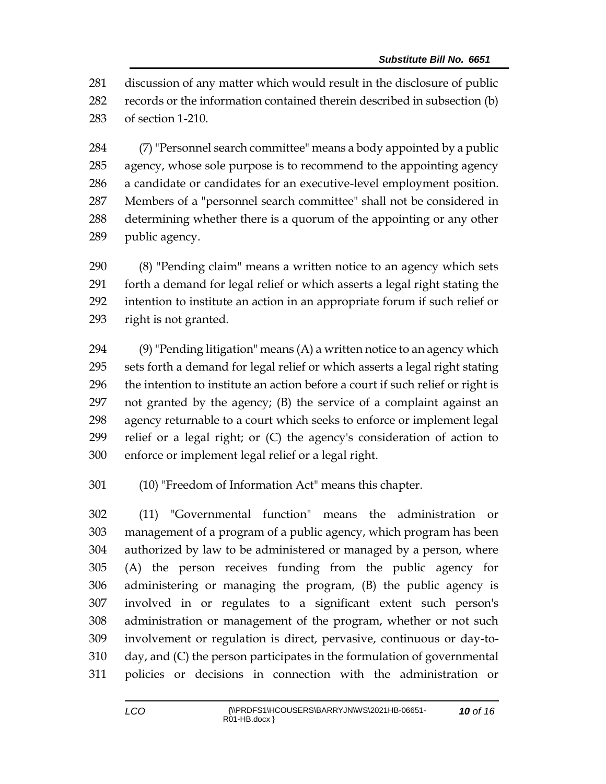discussion of any matter which would result in the disclosure of public records or the information contained therein described in subsection (b) of section 1-210.

 (7) "Personnel search committee" means a body appointed by a public agency, whose sole purpose is to recommend to the appointing agency a candidate or candidates for an executive-level employment position. Members of a "personnel search committee" shall not be considered in determining whether there is a quorum of the appointing or any other public agency.

 (8) "Pending claim" means a written notice to an agency which sets forth a demand for legal relief or which asserts a legal right stating the intention to institute an action in an appropriate forum if such relief or right is not granted.

 $(9)$  "Pending litigation" means  $(A)$  a written notice to an agency which sets forth a demand for legal relief or which asserts a legal right stating the intention to institute an action before a court if such relief or right is not granted by the agency; (B) the service of a complaint against an agency returnable to a court which seeks to enforce or implement legal relief or a legal right; or (C) the agency's consideration of action to enforce or implement legal relief or a legal right.

(10) "Freedom of Information Act" means this chapter.

 (11) "Governmental function" means the administration or management of a program of a public agency, which program has been authorized by law to be administered or managed by a person, where (A) the person receives funding from the public agency for administering or managing the program, (B) the public agency is involved in or regulates to a significant extent such person's administration or management of the program, whether or not such involvement or regulation is direct, pervasive, continuous or day-to- day, and (C) the person participates in the formulation of governmental policies or decisions in connection with the administration or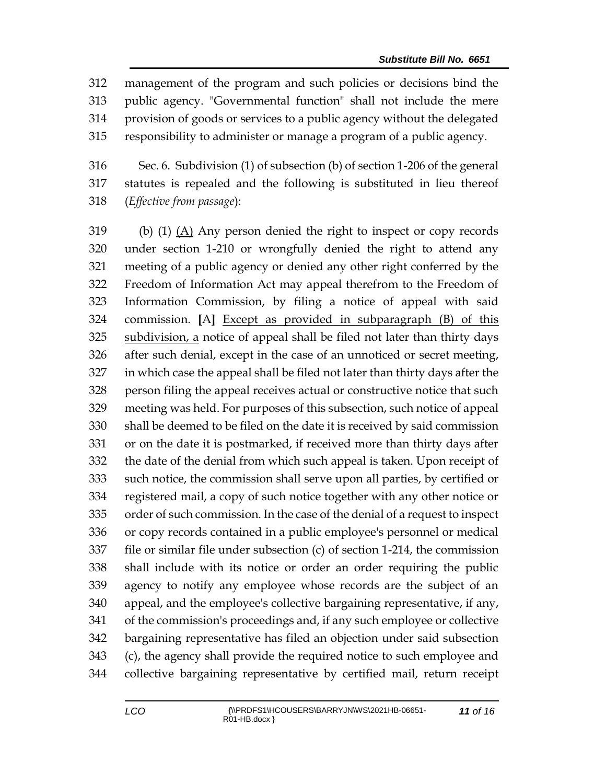management of the program and such policies or decisions bind the public agency. "Governmental function" shall not include the mere provision of goods or services to a public agency without the delegated responsibility to administer or manage a program of a public agency.

 Sec. 6. Subdivision (1) of subsection (b) of section 1-206 of the general statutes is repealed and the following is substituted in lieu thereof (*Effective from passage*):

 (b) (1) (A) Any person denied the right to inspect or copy records under section 1-210 or wrongfully denied the right to attend any meeting of a public agency or denied any other right conferred by the Freedom of Information Act may appeal therefrom to the Freedom of Information Commission, by filing a notice of appeal with said commission. **[**A**]** Except as provided in subparagraph (B) of this subdivision, a notice of appeal shall be filed not later than thirty days after such denial, except in the case of an unnoticed or secret meeting, in which case the appeal shall be filed not later than thirty days after the person filing the appeal receives actual or constructive notice that such meeting was held. For purposes of this subsection, such notice of appeal shall be deemed to be filed on the date it is received by said commission or on the date it is postmarked, if received more than thirty days after the date of the denial from which such appeal is taken. Upon receipt of such notice, the commission shall serve upon all parties, by certified or registered mail, a copy of such notice together with any other notice or order of such commission. In the case of the denial of a request to inspect or copy records contained in a public employee's personnel or medical file or similar file under subsection (c) of section 1-214, the commission shall include with its notice or order an order requiring the public agency to notify any employee whose records are the subject of an appeal, and the employee's collective bargaining representative, if any, of the commission's proceedings and, if any such employee or collective bargaining representative has filed an objection under said subsection (c), the agency shall provide the required notice to such employee and collective bargaining representative by certified mail, return receipt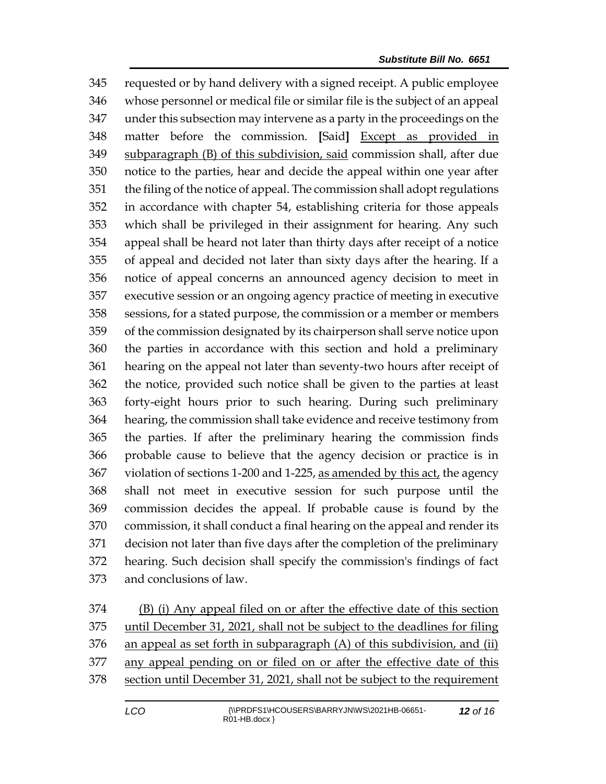requested or by hand delivery with a signed receipt. A public employee whose personnel or medical file or similar file is the subject of an appeal under this subsection may intervene as a party in the proceedings on the matter before the commission. **[**Said**]** Except as provided in 349 subparagraph (B) of this subdivision, said commission shall, after due notice to the parties, hear and decide the appeal within one year after the filing of the notice of appeal. The commission shall adopt regulations in accordance with chapter 54, establishing criteria for those appeals which shall be privileged in their assignment for hearing. Any such appeal shall be heard not later than thirty days after receipt of a notice of appeal and decided not later than sixty days after the hearing. If a notice of appeal concerns an announced agency decision to meet in executive session or an ongoing agency practice of meeting in executive sessions, for a stated purpose, the commission or a member or members of the commission designated by its chairperson shall serve notice upon the parties in accordance with this section and hold a preliminary hearing on the appeal not later than seventy-two hours after receipt of the notice, provided such notice shall be given to the parties at least forty-eight hours prior to such hearing. During such preliminary hearing, the commission shall take evidence and receive testimony from the parties. If after the preliminary hearing the commission finds probable cause to believe that the agency decision or practice is in 367 violation of sections 1-200 and 1-225, as amended by this act, the agency shall not meet in executive session for such purpose until the commission decides the appeal. If probable cause is found by the commission, it shall conduct a final hearing on the appeal and render its decision not later than five days after the completion of the preliminary hearing. Such decision shall specify the commission's findings of fact and conclusions of law.

 (B) (i) Any appeal filed on or after the effective date of this section until December 31, 2021, shall not be subject to the deadlines for filing an appeal as set forth in subparagraph (A) of this subdivision, and (ii) any appeal pending on or filed on or after the effective date of this section until December 31, 2021, shall not be subject to the requirement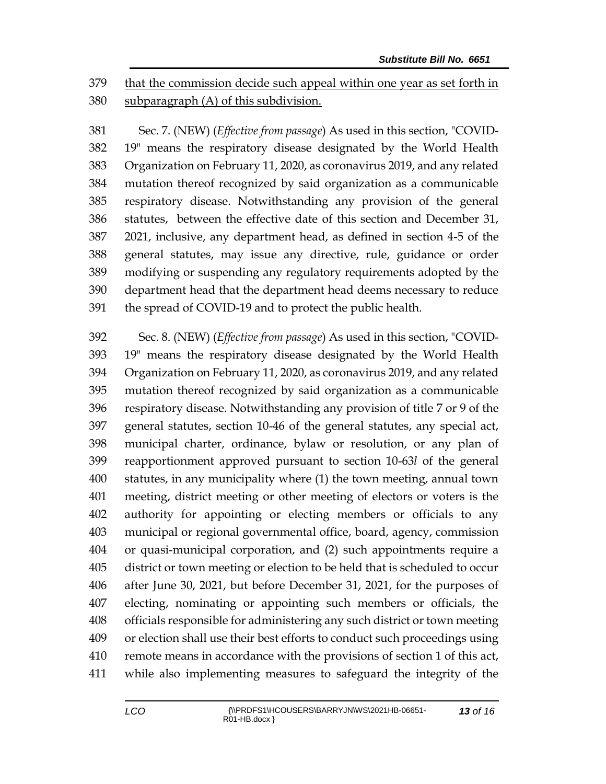379 that the commission decide such appeal within one year as set forth in subparagraph (A) of this subdivision.

 Sec. 7. (NEW) (*Effective from passage*) As used in this section, "COVID- 19" means the respiratory disease designated by the World Health Organization on February 11, 2020, as coronavirus 2019, and any related mutation thereof recognized by said organization as a communicable respiratory disease. Notwithstanding any provision of the general statutes, between the effective date of this section and December 31, 2021, inclusive, any department head, as defined in section 4-5 of the general statutes, may issue any directive, rule, guidance or order modifying or suspending any regulatory requirements adopted by the department head that the department head deems necessary to reduce the spread of COVID-19 and to protect the public health.

 Sec. 8. (NEW) (*Effective from passage*) As used in this section, "COVID- 19" means the respiratory disease designated by the World Health Organization on February 11, 2020, as coronavirus 2019, and any related mutation thereof recognized by said organization as a communicable respiratory disease. Notwithstanding any provision of title 7 or 9 of the general statutes, section 10-46 of the general statutes, any special act, municipal charter, ordinance, bylaw or resolution, or any plan of reapportionment approved pursuant to section 10-63*l* of the general statutes, in any municipality where (1) the town meeting, annual town meeting, district meeting or other meeting of electors or voters is the authority for appointing or electing members or officials to any municipal or regional governmental office, board, agency, commission or quasi-municipal corporation, and (2) such appointments require a district or town meeting or election to be held that is scheduled to occur after June 30, 2021, but before December 31, 2021, for the purposes of electing, nominating or appointing such members or officials, the officials responsible for administering any such district or town meeting or election shall use their best efforts to conduct such proceedings using remote means in accordance with the provisions of section 1 of this act, while also implementing measures to safeguard the integrity of the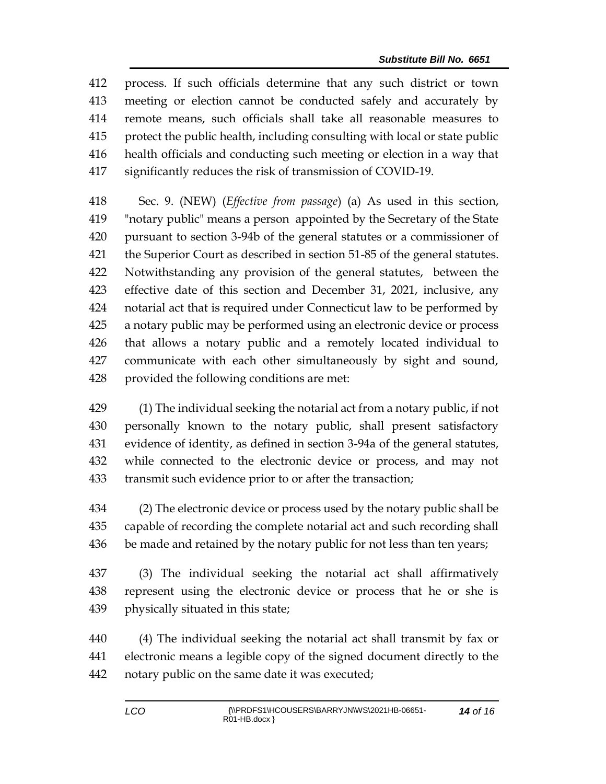process. If such officials determine that any such district or town meeting or election cannot be conducted safely and accurately by remote means, such officials shall take all reasonable measures to protect the public health, including consulting with local or state public health officials and conducting such meeting or election in a way that significantly reduces the risk of transmission of COVID-19.

 Sec. 9. (NEW) (*Effective from passage*) (a) As used in this section, "notary public" means a person appointed by the Secretary of the State pursuant to section 3-94b of the general statutes or a commissioner of the Superior Court as described in section 51-85 of the general statutes. Notwithstanding any provision of the general statutes, between the effective date of this section and December 31, 2021, inclusive, any notarial act that is required under Connecticut law to be performed by a notary public may be performed using an electronic device or process that allows a notary public and a remotely located individual to communicate with each other simultaneously by sight and sound, provided the following conditions are met:

 (1) The individual seeking the notarial act from a notary public, if not personally known to the notary public, shall present satisfactory evidence of identity, as defined in section 3-94a of the general statutes, while connected to the electronic device or process, and may not transmit such evidence prior to or after the transaction;

 (2) The electronic device or process used by the notary public shall be capable of recording the complete notarial act and such recording shall 436 be made and retained by the notary public for not less than ten years;

 (3) The individual seeking the notarial act shall affirmatively represent using the electronic device or process that he or she is physically situated in this state;

 (4) The individual seeking the notarial act shall transmit by fax or electronic means a legible copy of the signed document directly to the notary public on the same date it was executed;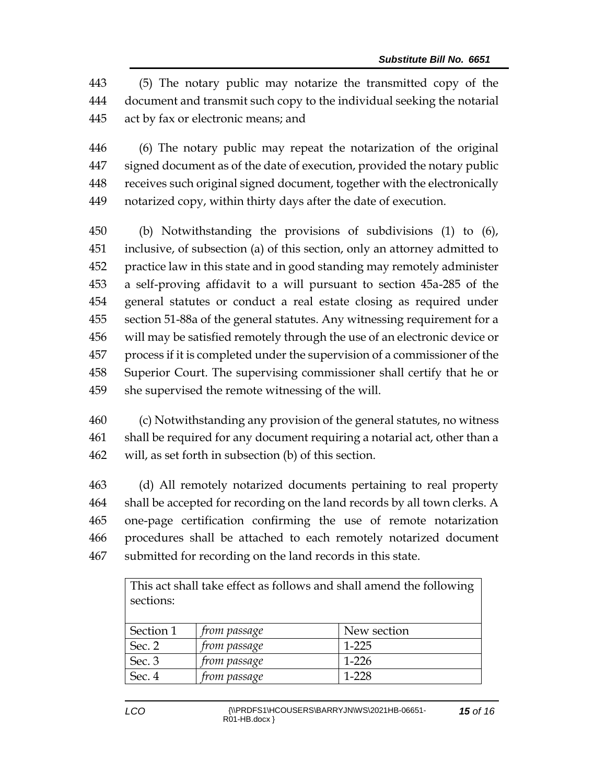(5) The notary public may notarize the transmitted copy of the document and transmit such copy to the individual seeking the notarial act by fax or electronic means; and

 (6) The notary public may repeat the notarization of the original signed document as of the date of execution, provided the notary public receives such original signed document, together with the electronically notarized copy, within thirty days after the date of execution.

 (b) Notwithstanding the provisions of subdivisions (1) to (6), inclusive, of subsection (a) of this section, only an attorney admitted to practice law in this state and in good standing may remotely administer a self-proving affidavit to a will pursuant to section 45a-285 of the general statutes or conduct a real estate closing as required under section 51-88a of the general statutes. Any witnessing requirement for a will may be satisfied remotely through the use of an electronic device or process if it is completed under the supervision of a commissioner of the Superior Court. The supervising commissioner shall certify that he or she supervised the remote witnessing of the will.

 (c) Notwithstanding any provision of the general statutes, no witness shall be required for any document requiring a notarial act, other than a will, as set forth in subsection (b) of this section.

 (d) All remotely notarized documents pertaining to real property shall be accepted for recording on the land records by all town clerks. A one-page certification confirming the use of remote notarization procedures shall be attached to each remotely notarized document submitted for recording on the land records in this state.

| This act shall take effect as follows and shall amend the following |              |             |  |  |
|---------------------------------------------------------------------|--------------|-------------|--|--|
| sections:                                                           |              |             |  |  |
|                                                                     |              |             |  |  |
| Section 1                                                           | from passage | New section |  |  |
| Sec. 2                                                              | from passage | $1 - 225$   |  |  |
| Sec. 3                                                              | from passage | $1-226$     |  |  |
| Sec. 4                                                              | from passage | 1-228       |  |  |